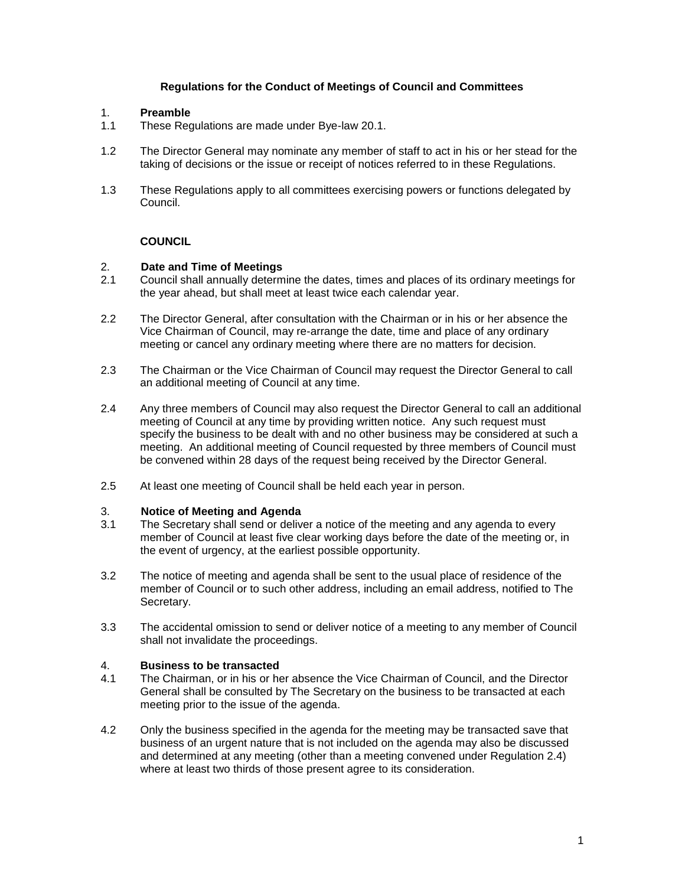## **Regulations for the Conduct of Meetings of Council and Committees**

## 1. **Preamble**

- 1.1 These Regulations are made under Bye-law 20.1.
- 1.2 The Director General may nominate any member of staff to act in his or her stead for the taking of decisions or the issue or receipt of notices referred to in these Regulations.
- 1.3 These Regulations apply to all committees exercising powers or functions delegated by Council.

# **COUNCIL**

## 2. **Date and Time of Meetings**

- 2.1 Council shall annually determine the dates, times and places of its ordinary meetings for the year ahead, but shall meet at least twice each calendar year.
- 2.2 The Director General, after consultation with the Chairman or in his or her absence the Vice Chairman of Council, may re-arrange the date, time and place of any ordinary meeting or cancel any ordinary meeting where there are no matters for decision.
- 2.3 The Chairman or the Vice Chairman of Council may request the Director General to call an additional meeting of Council at any time.
- 2.4 Any three members of Council may also request the Director General to call an additional meeting of Council at any time by providing written notice. Any such request must specify the business to be dealt with and no other business may be considered at such a meeting. An additional meeting of Council requested by three members of Council must be convened within 28 days of the request being received by the Director General.
- 2.5 At least one meeting of Council shall be held each year in person.

### 3. **Notice of Meeting and Agenda**

- 3.1 The Secretary shall send or deliver a notice of the meeting and any agenda to every member of Council at least five clear working days before the date of the meeting or, in the event of urgency, at the earliest possible opportunity.
- 3.2 The notice of meeting and agenda shall be sent to the usual place of residence of the member of Council or to such other address, including an email address, notified to The Secretary.
- 3.3 The accidental omission to send or deliver notice of a meeting to any member of Council shall not invalidate the proceedings.

### 4. **Business to be transacted**

- 4.1 The Chairman, or in his or her absence the Vice Chairman of Council, and the Director General shall be consulted by The Secretary on the business to be transacted at each meeting prior to the issue of the agenda.
- 4.2 Only the business specified in the agenda for the meeting may be transacted save that business of an urgent nature that is not included on the agenda may also be discussed and determined at any meeting (other than a meeting convened under Regulation 2.4) where at least two thirds of those present agree to its consideration.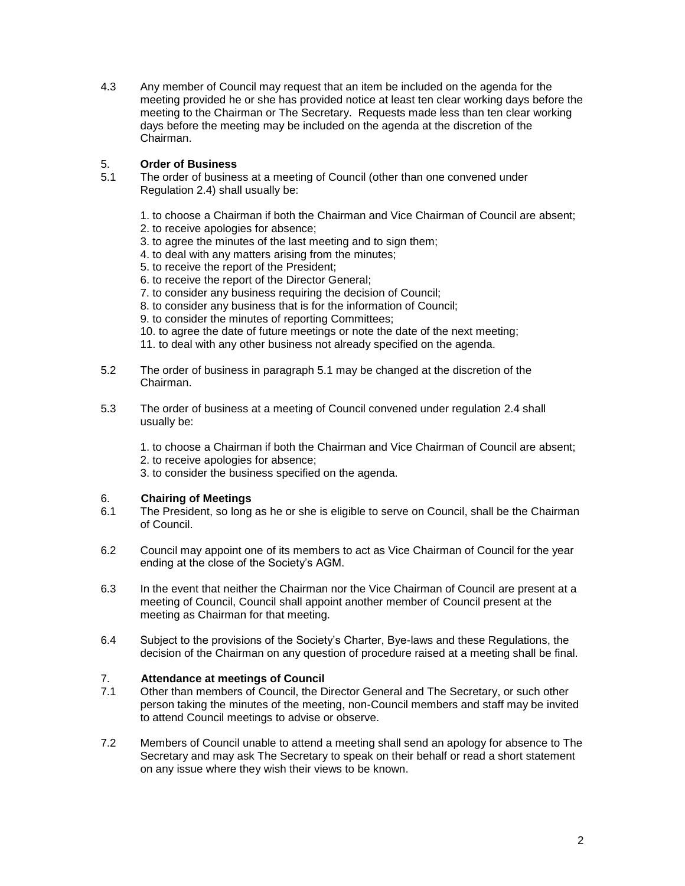4.3 Any member of Council may request that an item be included on the agenda for the meeting provided he or she has provided notice at least ten clear working days before the meeting to the Chairman or The Secretary. Requests made less than ten clear working days before the meeting may be included on the agenda at the discretion of the Chairman.

# 5. **Order of Business**

- 5.1 The order of business at a meeting of Council (other than one convened under Regulation 2.4) shall usually be:
	- 1. to choose a Chairman if both the Chairman and Vice Chairman of Council are absent;
	- 2. to receive apologies for absence;
	- 3. to agree the minutes of the last meeting and to sign them;
	- 4. to deal with any matters arising from the minutes;
	- 5. to receive the report of the President;
	- 6. to receive the report of the Director General;
	- 7. to consider any business requiring the decision of Council;
	- 8. to consider any business that is for the information of Council;
	- 9. to consider the minutes of reporting Committees;
	- 10. to agree the date of future meetings or note the date of the next meeting;
	- 11. to deal with any other business not already specified on the agenda.
- 5.2 The order of business in paragraph 5.1 may be changed at the discretion of the Chairman.
- 5.3 The order of business at a meeting of Council convened under regulation 2.4 shall usually be:

1. to choose a Chairman if both the Chairman and Vice Chairman of Council are absent;

- 2. to receive apologies for absence;
- 3. to consider the business specified on the agenda.

# 6. **Chairing of Meetings**

- 6.1 The President, so long as he or she is eligible to serve on Council, shall be the Chairman of Council.
- 6.2 Council may appoint one of its members to act as Vice Chairman of Council for the year ending at the close of the Society's AGM.
- 6.3 In the event that neither the Chairman nor the Vice Chairman of Council are present at a meeting of Council, Council shall appoint another member of Council present at the meeting as Chairman for that meeting.
- 6.4 Subject to the provisions of the Society's Charter, Bye-laws and these Regulations, the decision of the Chairman on any question of procedure raised at a meeting shall be final.

# 7. **Attendance at meetings of Council**

- 7.1 Other than members of Council, the Director General and The Secretary, or such other person taking the minutes of the meeting, non-Council members and staff may be invited to attend Council meetings to advise or observe.
- 7.2 Members of Council unable to attend a meeting shall send an apology for absence to The Secretary and may ask The Secretary to speak on their behalf or read a short statement on any issue where they wish their views to be known.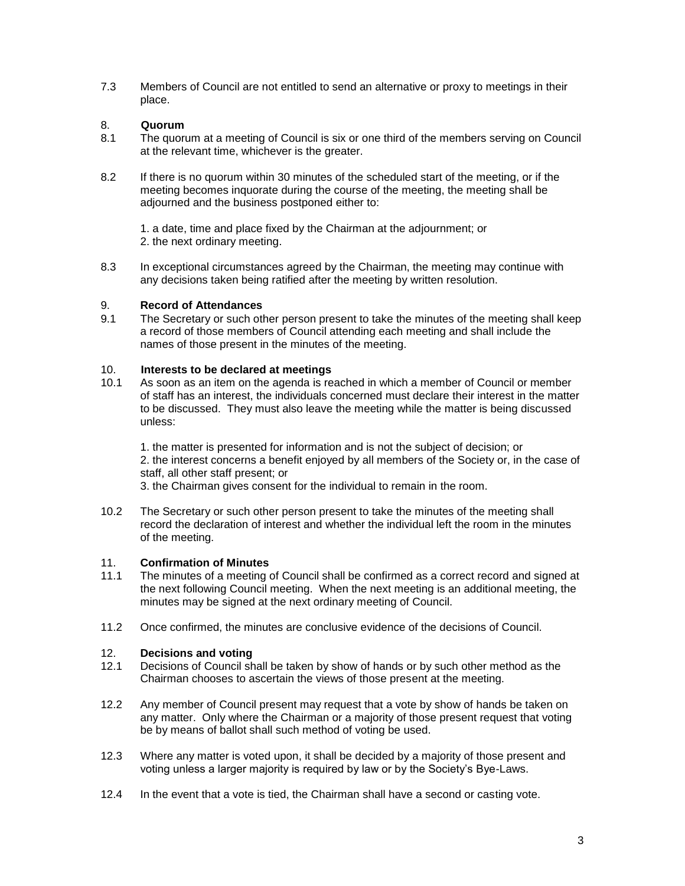7.3 Members of Council are not entitled to send an alternative or proxy to meetings in their place.

# 8. **Quorum**

- 8.1 The quorum at a meeting of Council is six or one third of the members serving on Council at the relevant time, whichever is the greater.
- 8.2 If there is no quorum within 30 minutes of the scheduled start of the meeting, or if the meeting becomes inquorate during the course of the meeting, the meeting shall be adjourned and the business postponed either to:

1. a date, time and place fixed by the Chairman at the adjournment; or 2. the next ordinary meeting.

8.3 In exceptional circumstances agreed by the Chairman, the meeting may continue with any decisions taken being ratified after the meeting by written resolution.

## 9. **Record of Attendances**

9.1 The Secretary or such other person present to take the minutes of the meeting shall keep a record of those members of Council attending each meeting and shall include the names of those present in the minutes of the meeting.

## 10. **Interests to be declared at meetings**

10.1 As soon as an item on the agenda is reached in which a member of Council or member of staff has an interest, the individuals concerned must declare their interest in the matter to be discussed. They must also leave the meeting while the matter is being discussed unless:

1. the matter is presented for information and is not the subject of decision; or 2. the interest concerns a benefit enjoyed by all members of the Society or, in the case of staff, all other staff present; or 3. the Chairman gives consent for the individual to remain in the room.

10.2 The Secretary or such other person present to take the minutes of the meeting shall record the declaration of interest and whether the individual left the room in the minutes of the meeting.

### 11. **Confirmation of Minutes**

- 11.1 The minutes of a meeting of Council shall be confirmed as a correct record and signed at the next following Council meeting. When the next meeting is an additional meeting, the minutes may be signed at the next ordinary meeting of Council.
- 11.2 Once confirmed, the minutes are conclusive evidence of the decisions of Council.

# 12. **Decisions and voting**

- 12.1 Decisions of Council shall be taken by show of hands or by such other method as the Chairman chooses to ascertain the views of those present at the meeting.
- 12.2 Any member of Council present may request that a vote by show of hands be taken on any matter. Only where the Chairman or a majority of those present request that voting be by means of ballot shall such method of voting be used.
- 12.3 Where any matter is voted upon, it shall be decided by a majority of those present and voting unless a larger majority is required by law or by the Society's Bye-Laws.
- 12.4 In the event that a vote is tied, the Chairman shall have a second or casting vote.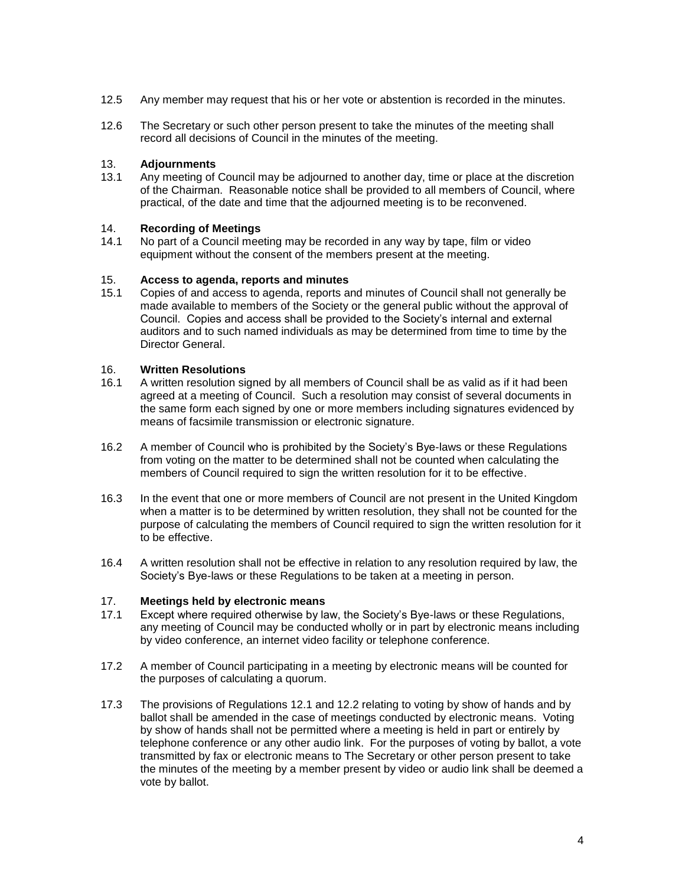- 12.5 Any member may request that his or her vote or abstention is recorded in the minutes.
- 12.6 The Secretary or such other person present to take the minutes of the meeting shall record all decisions of Council in the minutes of the meeting.

## 13. **Adjournments**

13.1 Any meeting of Council may be adjourned to another day, time or place at the discretion of the Chairman. Reasonable notice shall be provided to all members of Council, where practical, of the date and time that the adjourned meeting is to be reconvened.

# 14. **Recording of Meetings**

No part of a Council meeting may be recorded in any way by tape, film or video equipment without the consent of the members present at the meeting.

### 15. **Access to agenda, reports and minutes**

15.1 Copies of and access to agenda, reports and minutes of Council shall not generally be made available to members of the Society or the general public without the approval of Council. Copies and access shall be provided to the Society's internal and external auditors and to such named individuals as may be determined from time to time by the Director General.

# 16. **Written Resolutions**

- 16.1 A written resolution signed by all members of Council shall be as valid as if it had been agreed at a meeting of Council. Such a resolution may consist of several documents in the same form each signed by one or more members including signatures evidenced by means of facsimile transmission or electronic signature.
- 16.2 A member of Council who is prohibited by the Society's Bye-laws or these Regulations from voting on the matter to be determined shall not be counted when calculating the members of Council required to sign the written resolution for it to be effective.
- 16.3 In the event that one or more members of Council are not present in the United Kingdom when a matter is to be determined by written resolution, they shall not be counted for the purpose of calculating the members of Council required to sign the written resolution for it to be effective.
- 16.4 A written resolution shall not be effective in relation to any resolution required by law, the Society's Bye-laws or these Regulations to be taken at a meeting in person.

# 17. **Meetings held by electronic means**

- Except where required otherwise by law, the Society's Bye-laws or these Regulations, any meeting of Council may be conducted wholly or in part by electronic means including by video conference, an internet video facility or telephone conference.
- 17.2 A member of Council participating in a meeting by electronic means will be counted for the purposes of calculating a quorum.
- 17.3 The provisions of Regulations 12.1 and 12.2 relating to voting by show of hands and by ballot shall be amended in the case of meetings conducted by electronic means. Voting by show of hands shall not be permitted where a meeting is held in part or entirely by telephone conference or any other audio link. For the purposes of voting by ballot, a vote transmitted by fax or electronic means to The Secretary or other person present to take the minutes of the meeting by a member present by video or audio link shall be deemed a vote by ballot.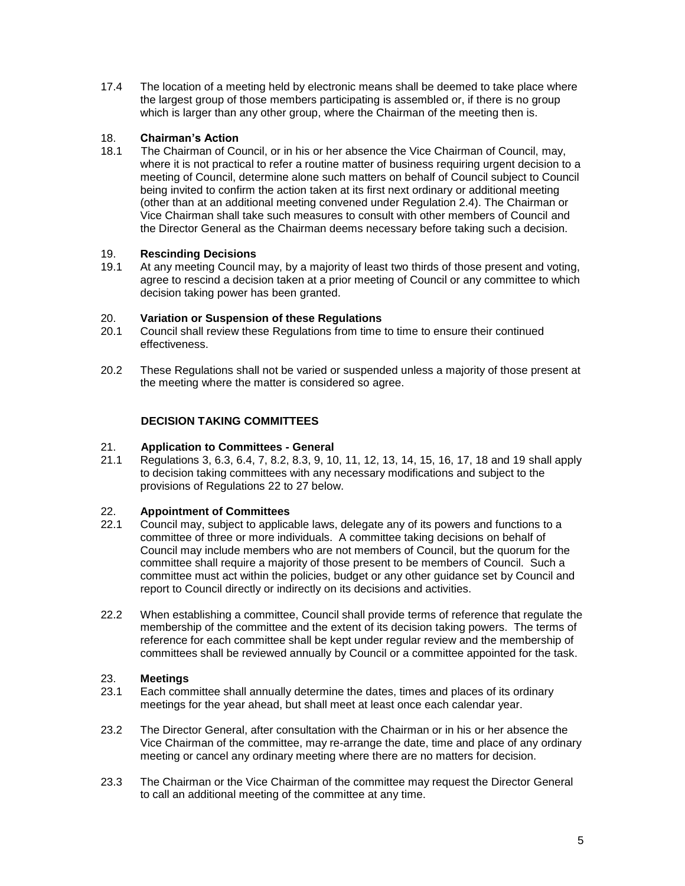17.4 The location of a meeting held by electronic means shall be deemed to take place where the largest group of those members participating is assembled or, if there is no group which is larger than any other group, where the Chairman of the meeting then is.

# 18. **Chairman's Action**

18.1 The Chairman of Council, or in his or her absence the Vice Chairman of Council, may, where it is not practical to refer a routine matter of business requiring urgent decision to a meeting of Council, determine alone such matters on behalf of Council subject to Council being invited to confirm the action taken at its first next ordinary or additional meeting (other than at an additional meeting convened under Regulation 2.4). The Chairman or Vice Chairman shall take such measures to consult with other members of Council and the Director General as the Chairman deems necessary before taking such a decision.

# 19. **Rescinding Decisions**

19.1 At any meeting Council may, by a majority of least two thirds of those present and voting, agree to rescind a decision taken at a prior meeting of Council or any committee to which decision taking power has been granted.

# 20. **Variation or Suspension of these Regulations**

- 20.1 Council shall review these Regulations from time to time to ensure their continued effectiveness.
- 20.2 These Regulations shall not be varied or suspended unless a majority of those present at the meeting where the matter is considered so agree.

# **DECISION TAKING COMMITTEES**

## 21. **Application to Committees - General**

21.1 Regulations 3, 6.3, 6.4, 7, 8.2, 8.3, 9, 10, 11, 12, 13, 14, 15, 16, 17, 18 and 19 shall apply to decision taking committees with any necessary modifications and subject to the provisions of Regulations 22 to 27 below.

# 22. **Appointment of Committees**

- 22.1 Council may, subject to applicable laws, delegate any of its powers and functions to a committee of three or more individuals. A committee taking decisions on behalf of Council may include members who are not members of Council, but the quorum for the committee shall require a majority of those present to be members of Council. Such a committee must act within the policies, budget or any other guidance set by Council and report to Council directly or indirectly on its decisions and activities.
- 22.2 When establishing a committee, Council shall provide terms of reference that regulate the membership of the committee and the extent of its decision taking powers. The terms of reference for each committee shall be kept under regular review and the membership of committees shall be reviewed annually by Council or a committee appointed for the task.

# 23. **Meetings**

- 23.1 Each committee shall annually determine the dates, times and places of its ordinary meetings for the year ahead, but shall meet at least once each calendar year.
- 23.2 The Director General, after consultation with the Chairman or in his or her absence the Vice Chairman of the committee, may re-arrange the date, time and place of any ordinary meeting or cancel any ordinary meeting where there are no matters for decision.
- 23.3 The Chairman or the Vice Chairman of the committee may request the Director General to call an additional meeting of the committee at any time.